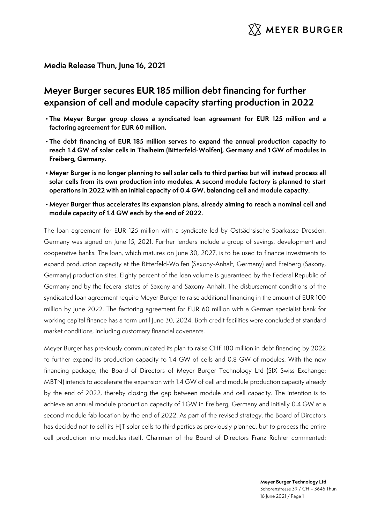

## **Media Release Thun, June 16, 2021**

# **Meyer Burger secures EUR 185 million debt financing for further expansion of cell and module capacity starting production in 2022**

- **The Meyer Burger group closes a syndicated loan agreement for EUR 125 million and a factoring agreement for EUR 60 million.**
- **The debt financing of EUR 185 million serves to expand the annual production capacity to reach 1.4 GW of solar cells in Thalheim (Bitterfeld-Wolfen), Germany and 1 GW of modules in Freiberg, Germany.**
- **Meyer Burger is no longer planning to sell solar cells to third parties but will instead process all solar cells from its own production into modules. A second module factory is planned to start operations in 2022 with an initial capacity of 0.4 GW, balancing cell and module capacity.**
- **Meyer Burger thus accelerates its expansion plans, already aiming to reach a nominal cell and module capacity of 1.4 GW each by the end of 2022.**

The loan agreement for EUR 125 million with a syndicate led by Ostsächsische Sparkasse Dresden, Germany was signed on June 15, 2021. Further lenders include a group of savings, development and cooperative banks. The loan, which matures on June 30, 2027, is to be used to finance investments to expand production capacity at the Bitterfeld-Wolfen (Saxony-Anhalt, Germany) and Freiberg (Saxony, Germany) production sites. Eighty percent of the loan volume is guaranteed by the Federal Republic of Germany and by the federal states of Saxony and Saxony-Anhalt. The disbursement conditions of the syndicated loan agreement require Meyer Burger to raise additional financing in the amount of EUR 100 million by June 2022. The factoring agreement for EUR 60 million with a German specialist bank for working capital finance has a term until June 30, 2024. Both credit facilities were concluded at standard market conditions, including customary financial covenants.

Meyer Burger has previously communicated its plan to raise CHF 180 million in debt financing by 2022 to further expand its production capacity to 1.4 GW of cells and 0.8 GW of modules. With the new financing package, the Board of Directors of Meyer Burger Technology Ltd (SIX Swiss Exchange: MBTN) intends to accelerate the expansion with 1.4 GW of cell and module production capacity already by the end of 2022, thereby closing the gap between module and cell capacity. The intention is to achieve an annual module production capacity of 1 GW in Freiberg, Germany and initially 0.4 GW at a second module fab location by the end of 2022. As part of the revised strategy, the Board of Directors has decided not to sell its HJT solar cells to third parties as previously planned, but to process the entire cell production into modules itself. Chairman of the Board of Directors Franz Richter commented:

> **Meyer Burger Technology Ltd** Schorenstrasse 39 / CH – 3645 Thun 16 June 2021 / Page 1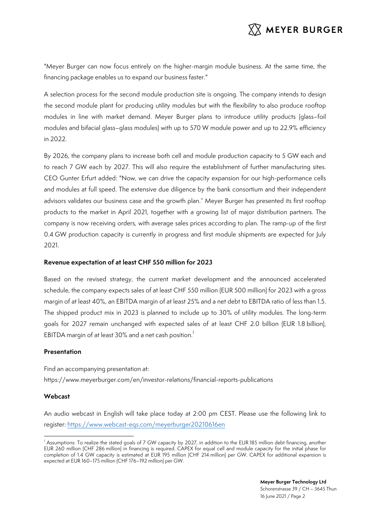

"Meyer Burger can now focus entirely on the higher-margin module business. At the same time, the financing package enables us to expand our business faster."

A selection process for the second module production site is ongoing. The company intends to design the second module plant for producing utility modules but with the flexibility to also produce rooftop modules in line with market demand. Meyer Burger plans to introduce utility products (glass–foil modules and bifacial glass–glass modules) with up to 570 W module power and up to 22.9% efficiency in 2022.

By 2026, the company plans to increase both cell and module production capacity to 5 GW each and to reach 7 GW each by 2027. This will also require the establishment of further manufacturing sites. CEO Gunter Erfurt added: "Now, we can drive the capacity expansion for our high-performance cells and modules at full speed. The extensive due diligence by the bank consortium and their independent advisors validates our business case and the growth plan." Meyer Burger has presented its first rooftop products to the market in April 2021, together with a growing list of major distribution partners. The company is now receiving orders, with average sales prices according to plan. The ramp-up of the first 0.4 GW production capacity is currently in progress and first module shipments are expected for July 2021.

### **Revenue expectation of at least CHF 550 million for 2023**

Based on the revised strategy, the current market development and the announced accelerated schedule, the company expects sales of at least CHF 550 million (EUR 500 million) for 2023 with a gross margin of at least 40%, an EBITDA margin of at least 25% and a net debt to EBITDA ratio of less than 1.5. The shipped product mix in 2023 is planned to include up to 30% of utility modules. The long-term goals for 2027 remain unchanged with expected sales of at least CHF 2.0 billion (EUR 1.8 billion), EBITDA margin of at least 30% and a net cash position. $^{\mathrm{1}}$ 

### **Presentation**

Find an accompanying presentation at: https://www.meyerburger.com/en/investor-relations/financial-reports-publications

### **Webcast**

An audio webcast in English will take place today at 2:00 pm CEST. Please use the following link to register: https://www.webcast-eqs.com/meyerburger20210616en

<sup>&</sup>lt;sup>1</sup> Assumptions: To realize the stated goals of 7 GW capacity by 2027, in addition to the EUR 185 million debt financing, another EUR 260 million (CHF 286 million) in financing is required. CAPEX for equal cell and module capacity for the initial phase for completion of 1.4 GW capacity is estimated at EUR 195 million (CHF 214 million) per GW. CAPEX for additional expansion is expected at EUR 160–175 million (CHF 176–192 million) per GW.